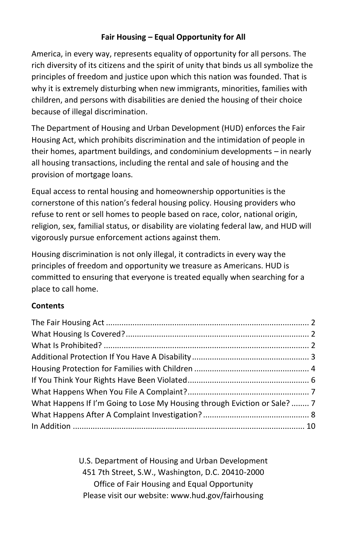# **Fair Housing – Equal Opportunity for All**

America, in every way, represents equality of opportunity for all persons. The rich diversity of its citizens and the spirit of unity that binds us all symbolize the principles of freedom and justice upon which this nation was founded. That is why it is extremely disturbing when new immigrants, minorities, families with children, and persons with disabilities are denied the housing of their choice because of illegal discrimination.

The Department of Housing and Urban Development (HUD) enforces the Fair Housing Act, which prohibits discrimination and the intimidation of people in their homes, apartment buildings, and condominium developments – in nearly all housing transactions, including the rental and sale of housing and the provision of mortgage loans.

Equal access to rental housing and homeownership opportunities is the cornerstone of this nation's federal housing policy. Housing providers who refuse to rent or sell homes to people based on race, color, national origin, religion, sex, familial status, or disability are violating federal law, and HUD will vigorously pursue enforcement actions against them.

Housing discrimination is not only illegal, it contradicts in every way the principles of freedom and opportunity we treasure as Americans. HUD is committed to ensuring that everyone is treated equally when searching for a place to call home.

## **Contents**

| What Happens If I'm Going to Lose My Housing through Eviction or Sale?  7 |  |
|---------------------------------------------------------------------------|--|
|                                                                           |  |
|                                                                           |  |

U.S. Department of Housing and Urban Development 451 7th Street, S.W., Washington, D.C. 20410-2000 Office of Fair Housing and Equal Opportunity Please visit our website: www.hud.gov/fairhousing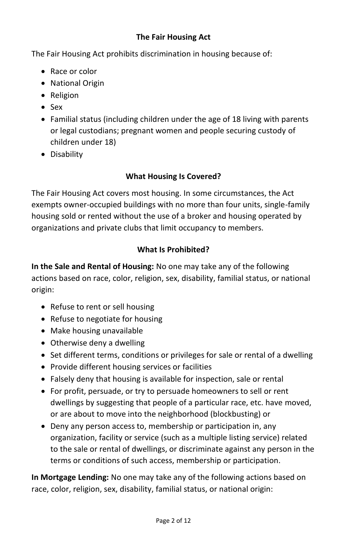### **The Fair Housing Act**

The Fair Housing Act prohibits discrimination in housing because of:

- Race or color
- National Origin
- Religion
- Sex
- Familial status (including children under the age of 18 living with parents or legal custodians; pregnant women and people securing custody of children under 18)
- Disability

# **What Housing Is Covered?**

The Fair Housing Act covers most housing. In some circumstances, the Act exempts owner-occupied buildings with no more than four units, single-family housing sold or rented without the use of a broker and housing operated by organizations and private clubs that limit occupancy to members.

# **What Is Prohibited?**

**In the Sale and Rental of Housing:** No one may take any of the following actions based on race, color, religion, sex, disability, familial status, or national origin:

- Refuse to rent or sell housing
- Refuse to negotiate for housing
- Make housing unavailable
- Otherwise deny a dwelling
- Set different terms, conditions or privileges for sale or rental of a dwelling
- Provide different housing services or facilities
- Falsely deny that housing is available for inspection, sale or rental
- For profit, persuade, or try to persuade homeowners to sell or rent dwellings by suggesting that people of a particular race, etc. have moved, or are about to move into the neighborhood (blockbusting) or
- Deny any person access to, membership or participation in, any organization, facility or service (such as a multiple listing service) related to the sale or rental of dwellings, or discriminate against any person in the terms or conditions of such access, membership or participation.

**In Mortgage Lending:** No one may take any of the following actions based on race, color, religion, sex, disability, familial status, or national origin: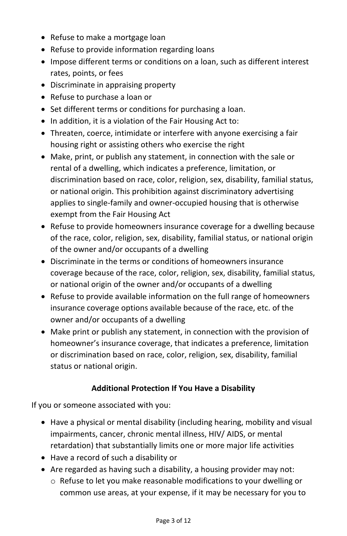- Refuse to make a mortgage loan
- Refuse to provide information regarding loans
- Impose different terms or conditions on a loan, such as different interest rates, points, or fees
- Discriminate in appraising property
- Refuse to purchase a loan or
- Set different terms or conditions for purchasing a loan.
- In addition, it is a violation of the Fair Housing Act to:
- Threaten, coerce, intimidate or interfere with anyone exercising a fair housing right or assisting others who exercise the right
- Make, print, or publish any statement, in connection with the sale or rental of a dwelling, which indicates a preference, limitation, or discrimination based on race, color, religion, sex, disability, familial status, or national origin. This prohibition against discriminatory advertising applies to single-family and owner-occupied housing that is otherwise exempt from the Fair Housing Act
- Refuse to provide homeowners insurance coverage for a dwelling because of the race, color, religion, sex, disability, familial status, or national origin of the owner and/or occupants of a dwelling
- Discriminate in the terms or conditions of homeowners insurance coverage because of the race, color, religion, sex, disability, familial status, or national origin of the owner and/or occupants of a dwelling
- Refuse to provide available information on the full range of homeowners insurance coverage options available because of the race, etc. of the owner and/or occupants of a dwelling
- Make print or publish any statement, in connection with the provision of homeowner's insurance coverage, that indicates a preference, limitation or discrimination based on race, color, religion, sex, disability, familial status or national origin.

## **Additional Protection If You Have a Disability**

If you or someone associated with you:

- Have a physical or mental disability (including hearing, mobility and visual impairments, cancer, chronic mental illness, HIV/ AIDS, or mental retardation) that substantially limits one or more major life activities
- Have a record of such a disability or
- Are regarded as having such a disability, a housing provider may not:
	- o Refuse to let you make reasonable modifications to your dwelling or common use areas, at your expense, if it may be necessary for you to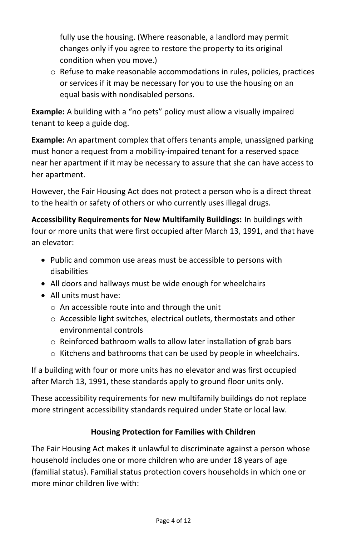fully use the housing. (Where reasonable, a landlord may permit changes only if you agree to restore the property to its original condition when you move.)

 $\circ$  Refuse to make reasonable accommodations in rules, policies, practices or services if it may be necessary for you to use the housing on an equal basis with nondisabled persons.

**Example:** A building with a "no pets" policy must allow a visually impaired tenant to keep a guide dog.

**Example:** An apartment complex that offers tenants ample, unassigned parking must honor a request from a mobility-impaired tenant for a reserved space near her apartment if it may be necessary to assure that she can have access to her apartment.

However, the Fair Housing Act does not protect a person who is a direct threat to the health or safety of others or who currently uses illegal drugs.

**Accessibility Requirements for New Multifamily Buildings:** In buildings with four or more units that were first occupied after March 13, 1991, and that have an elevator:

- Public and common use areas must be accessible to persons with disabilities
- All doors and hallways must be wide enough for wheelchairs
- All units must have:
	- o An accessible route into and through the unit
	- o Accessible light switches, electrical outlets, thermostats and other environmental controls
	- o Reinforced bathroom walls to allow later installation of grab bars
	- o Kitchens and bathrooms that can be used by people in wheelchairs.

If a building with four or more units has no elevator and was first occupied after March 13, 1991, these standards apply to ground floor units only.

These accessibility requirements for new multifamily buildings do not replace more stringent accessibility standards required under State or local law.

## **Housing Protection for Families with Children**

The Fair Housing Act makes it unlawful to discriminate against a person whose household includes one or more children who are under 18 years of age (familial status). Familial status protection covers households in which one or more minor children live with: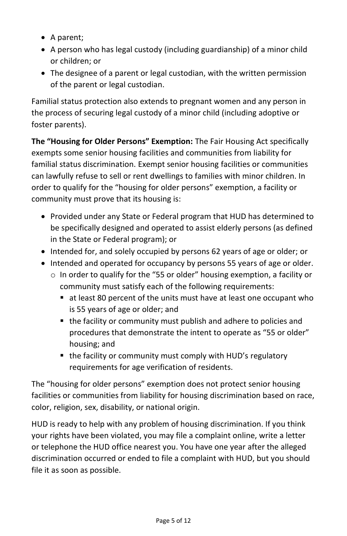- A parent;
- A person who has legal custody (including guardianship) of a minor child or children; or
- The designee of a parent or legal custodian, with the written permission of the parent or legal custodian.

Familial status protection also extends to pregnant women and any person in the process of securing legal custody of a minor child (including adoptive or foster parents).

**The "Housing for Older Persons" Exemption:** The Fair Housing Act specifically exempts some senior housing facilities and communities from liability for familial status discrimination. Exempt senior housing facilities or communities can lawfully refuse to sell or rent dwellings to families with minor children. In order to qualify for the "housing for older persons" exemption, a facility or community must prove that its housing is:

- Provided under any State or Federal program that HUD has determined to be specifically designed and operated to assist elderly persons (as defined in the State or Federal program); or
- Intended for, and solely occupied by persons 62 years of age or older; or
- Intended and operated for occupancy by persons 55 years of age or older.
	- o In order to qualify for the "55 or older" housing exemption, a facility or community must satisfy each of the following requirements:
		- at least 80 percent of the units must have at least one occupant who is 55 years of age or older; and
		- the facility or community must publish and adhere to policies and procedures that demonstrate the intent to operate as "55 or older" housing; and
		- the facility or community must comply with HUD's regulatory requirements for age verification of residents.

The "housing for older persons" exemption does not protect senior housing facilities or communities from liability for housing discrimination based on race, color, religion, sex, disability, or national origin.

HUD is ready to help with any problem of housing discrimination. If you think your rights have been violated, you may file a complaint online, write a letter or telephone the HUD office nearest you. You have one year after the alleged discrimination occurred or ended to file a complaint with HUD, but you should file it as soon as possible.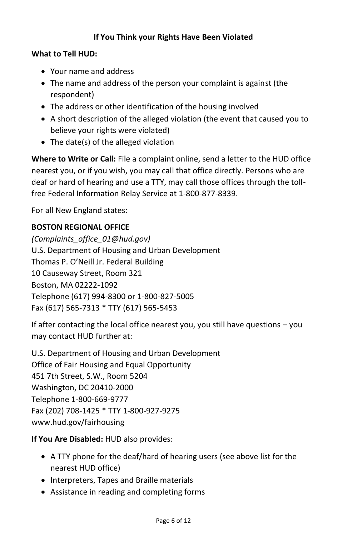### **If You Think your Rights Have Been Violated**

#### **What to Tell HUD:**

- Your name and address
- The name and address of the person your complaint is against (the respondent)
- The address or other identification of the housing involved
- A short description of the alleged violation (the event that caused you to believe your rights were violated)
- The date(s) of the alleged violation

**Where to Write or Call:** File a complaint online, send a letter to the HUD office nearest you, or if you wish, you may call that office directly. Persons who are deaf or hard of hearing and use a TTY, may call those offices through the tollfree Federal Information Relay Service at 1-800-877-8339.

For all New England states:

#### **BOSTON REGIONAL OFFICE**

*(Complaints\_office\_01@hud.gov)*  U.S. Department of Housing and Urban Development Thomas P. O'Neill Jr. Federal Building 10 Causeway Street, Room 321 Boston, MA 02222-1092 Telephone (617) 994-8300 or 1-800-827-5005 Fax (617) 565-7313 \* TTY (617) 565-5453

If after contacting the local office nearest you, you still have questions – you may contact HUD further at:

U.S. Department of Housing and Urban Development Office of Fair Housing and Equal Opportunity 451 7th Street, S.W., Room 5204 Washington, DC 20410-2000 Telephone 1-800-669-9777 Fax (202) 708-1425 \* TTY 1-800-927-9275 www.hud.gov/fairhousing

**If You Are Disabled:** HUD also provides:

- A TTY phone for the deaf/hard of hearing users (see above list for the nearest HUD office)
- Interpreters, Tapes and Braille materials
- Assistance in reading and completing forms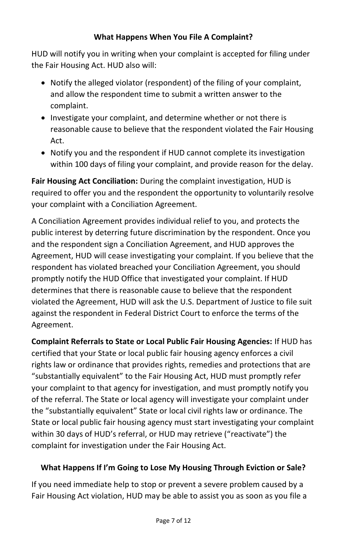### **What Happens When You File A Complaint?**

HUD will notify you in writing when your complaint is accepted for filing under the Fair Housing Act. HUD also will:

- Notify the alleged violator (respondent) of the filing of your complaint, and allow the respondent time to submit a written answer to the complaint.
- Investigate your complaint, and determine whether or not there is reasonable cause to believe that the respondent violated the Fair Housing Act.
- Notify you and the respondent if HUD cannot complete its investigation within 100 days of filing your complaint, and provide reason for the delay.

**Fair Housing Act Conciliation:** During the complaint investigation, HUD is required to offer you and the respondent the opportunity to voluntarily resolve your complaint with a Conciliation Agreement.

A Conciliation Agreement provides individual relief to you, and protects the public interest by deterring future discrimination by the respondent. Once you and the respondent sign a Conciliation Agreement, and HUD approves the Agreement, HUD will cease investigating your complaint. If you believe that the respondent has violated breached your Conciliation Agreement, you should promptly notify the HUD Office that investigated your complaint. If HUD determines that there is reasonable cause to believe that the respondent violated the Agreement, HUD will ask the U.S. Department of Justice to file suit against the respondent in Federal District Court to enforce the terms of the Agreement.

**Complaint Referrals to State or Local Public Fair Housing Agencies:** If HUD has certified that your State or local public fair housing agency enforces a civil rights law or ordinance that provides rights, remedies and protections that are "substantially equivalent" to the Fair Housing Act, HUD must promptly refer your complaint to that agency for investigation, and must promptly notify you of the referral. The State or local agency will investigate your complaint under the "substantially equivalent" State or local civil rights law or ordinance. The State or local public fair housing agency must start investigating your complaint within 30 days of HUD's referral, or HUD may retrieve ("reactivate") the complaint for investigation under the Fair Housing Act.

## **What Happens If I'm Going to Lose My Housing Through Eviction or Sale?**

If you need immediate help to stop or prevent a severe problem caused by a Fair Housing Act violation, HUD may be able to assist you as soon as you file a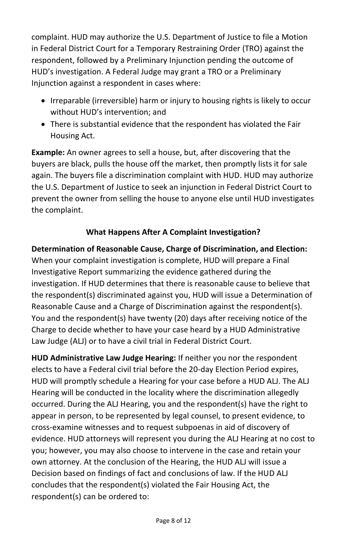complaint. HUD may authorize the U.S. Department of Justice to file a Motion in Federal District Court for a Temporary Restraining Order (TRO) against the respondent, followed by a Preliminary Injunction pending the outcome of HUD's investigation. A Federal Judge may grant a TRO or a Preliminary Injunction against a respondent in cases where:

- Irreparable (irreversible) harm or injury to housing rights is likely to occur without HUD's intervention; and
- There is substantial evidence that the respondent has violated the Fair Housing Act.

**Example:** An owner agrees to sell a house, but, after discovering that the buyers are black, pulls the house off the market, then promptly lists it for sale again. The buyers file a discrimination complaint with HUD. HUD may authorize the U.S. Department of Justice to seek an injunction in Federal District Court to prevent the owner from selling the house to anyone else until HUD investigates the complaint.

# **What Happens After A Complaint Investigation?**

**Determination of Reasonable Cause, Charge of Discrimination, and Election:** When your complaint investigation is complete, HUD will prepare a Final Investigative Report summarizing the evidence gathered during the investigation. If HUD determines that there is reasonable cause to believe that the respondent(s) discriminated against you, HUD will issue a Determination of Reasonable Cause and a Charge of Discrimination against the respondent(s). You and the respondent(s) have twenty (20) days after receiving notice of the Charge to decide whether to have your case heard by a HUD Administrative Law Judge (ALJ) or to have a civil trial in Federal District Court.

**HUD Administrative Law Judge Hearing:** If neither you nor the respondent elects to have a Federal civil trial before the 20-day Election Period expires, HUD will promptly schedule a Hearing for your case before a HUD ALJ. The ALJ Hearing will be conducted in the locality where the discrimination allegedly occurred. During the ALJ Hearing, you and the respondent(s) have the right to appear in person, to be represented by legal counsel, to present evidence, to cross-examine witnesses and to request subpoenas in aid of discovery of evidence. HUD attorneys will represent you during the ALJ Hearing at no cost to you; however, you may also choose to intervene in the case and retain your own attorney. At the conclusion of the Hearing, the HUD ALJ will issue a Decision based on findings of fact and conclusions of law. If the HUD ALJ concludes that the respondent(s) violated the Fair Housing Act, the respondent(s) can be ordered to: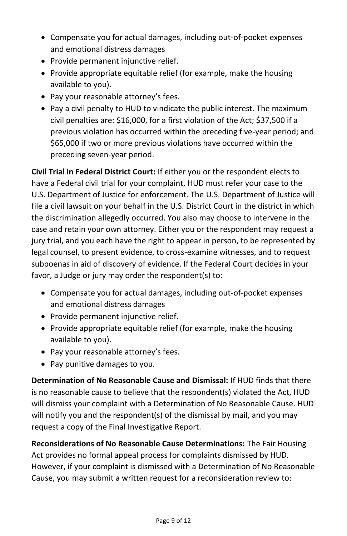- Compensate you for actual damages, including out-of-pocket expenses and emotional distress damages
- Provide permanent injunctive relief.
- Provide appropriate equitable relief (for example, make the housing available to you).
- Pay your reasonable attorney's fees.
- Pay a civil penalty to HUD to vindicate the public interest. The maximum civil penalties are: \$16,000, for a first violation of the Act; \$37,500 if a previous violation has occurred within the preceding five-year period; and \$65,000 if two or more previous violations have occurred within the preceding seven-year period.

**Civil Trial in Federal District Court:** If either you or the respondent elects to have a Federal civil trial for your complaint, HUD must refer your case to the U.S. Department of Justice for enforcement. The U.S. Department of Justice will file a civil lawsuit on your behalf in the U.S. District Court in the district in which the discrimination allegedly occurred. You also may choose to intervene in the case and retain your own attorney. Either you or the respondent may request a jury trial, and you each have the right to appear in person, to be represented by legal counsel, to present evidence, to cross-examine witnesses, and to request subpoenas in aid of discovery of evidence. If the Federal Court decides in your favor, a Judge or jury may order the respondent(s) to:

- Compensate you for actual damages, including out-of-pocket expenses and emotional distress damages
- Provide permanent injunctive relief.
- Provide appropriate equitable relief (for example, make the housing available to you).
- Pay your reasonable attorney's fees.
- Pay punitive damages to you.

**Determination of No Reasonable Cause and Dismissal:** If HUD finds that there is no reasonable cause to believe that the respondent(s) violated the Act, HUD will dismiss your complaint with a Determination of No Reasonable Cause. HUD will notify you and the respondent(s) of the dismissal by mail, and you may request a copy of the Final Investigative Report.

**Reconsiderations of No Reasonable Cause Determinations:** The Fair Housing Act provides no formal appeal process for complaints dismissed by HUD. However, if your complaint is dismissed with a Determination of No Reasonable Cause, you may submit a written request for a reconsideration review to: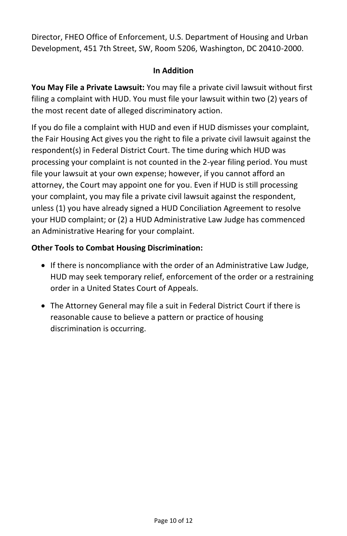Director, FHEO Office of Enforcement, U.S. Department of Housing and Urban Development, 451 7th Street, SW, Room 5206, Washington, DC 20410-2000.

#### **In Addition**

**You May File a Private Lawsuit:** You may file a private civil lawsuit without first filing a complaint with HUD. You must file your lawsuit within two (2) years of the most recent date of alleged discriminatory action.

If you do file a complaint with HUD and even if HUD dismisses your complaint, the Fair Housing Act gives you the right to file a private civil lawsuit against the respondent(s) in Federal District Court. The time during which HUD was processing your complaint is not counted in the 2-year filing period. You must file your lawsuit at your own expense; however, if you cannot afford an attorney, the Court may appoint one for you. Even if HUD is still processing your complaint, you may file a private civil lawsuit against the respondent, unless (1) you have already signed a HUD Conciliation Agreement to resolve your HUD complaint; or (2) a HUD Administrative Law Judge has commenced an Administrative Hearing for your complaint.

## **Other Tools to Combat Housing Discrimination:**

- If there is noncompliance with the order of an Administrative Law Judge, HUD may seek temporary relief, enforcement of the order or a restraining order in a United States Court of Appeals.
- The Attorney General may file a suit in Federal District Court if there is reasonable cause to believe a pattern or practice of housing discrimination is occurring.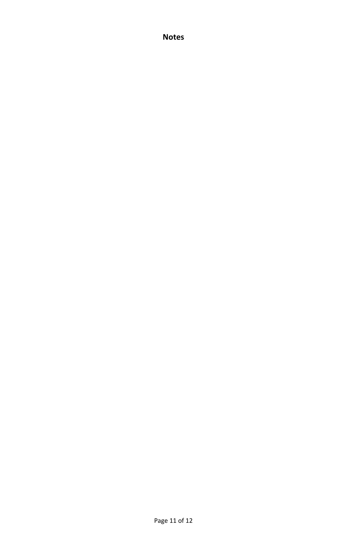**Notes**